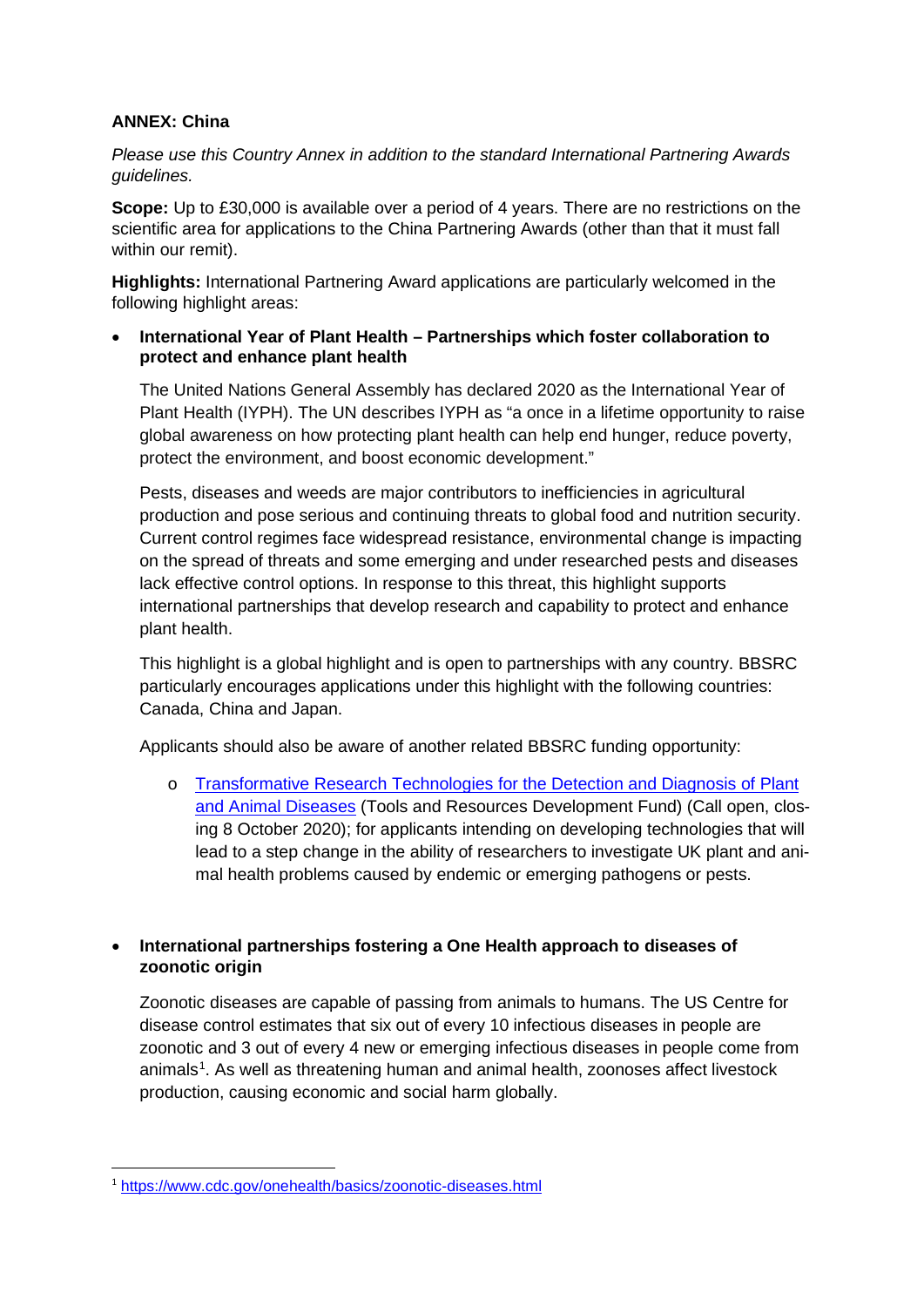## **ANNEX: China**

*Please use this Country Annex in addition to the standard International Partnering Awards guidelines.* 

**Scope:** Up to £30,000 is available over a period of 4 years. There are no restrictions on the scientific area for applications to the China Partnering Awards (other than that it must fall within our remit).

**Highlights:** International Partnering Award applications are particularly welcomed in the following highlight areas:

• **International Year of Plant Health – Partnerships which foster collaboration to protect and enhance plant health**

The United Nations General Assembly has declared 2020 as the International Year of Plant Health (IYPH). The UN describes IYPH as "a once in a lifetime opportunity to raise global awareness on how protecting plant health can help end hunger, reduce poverty, protect the environment, and boost economic development."

Pests, diseases and weeds are major contributors to inefficiencies in agricultural production and pose serious and continuing threats to global food and nutrition security. Current control regimes face widespread resistance, environmental change is impacting on the spread of threats and some emerging and under researched pests and diseases lack effective control options. In response to this threat, this highlight supports international partnerships that develop research and capability to protect and enhance plant health.

This highlight is a global highlight and is open to partnerships with any country. BBSRC particularly encourages applications under this highlight with the following countries: Canada, China and Japan.

Applicants should also be aware of another related BBSRC funding opportunity:

o [Transformative Research Technologies for the Detection and Diagnosis of Plant](https://bbsrc.ukri.org/funding/filter/2020-tools-resources-development-fund/)  [and Animal Diseases](https://bbsrc.ukri.org/funding/filter/2020-tools-resources-development-fund/) (Tools and Resources Development Fund) (Call open, closing 8 October 2020); for applicants intending on developing technologies that will lead to a step change in the ability of researchers to investigate UK plant and animal health problems caused by endemic or emerging pathogens or pests.

• **International partnerships fostering a One Health approach to diseases of zoonotic origin**

Zoonotic diseases are capable of passing from animals to humans. The US Centre for disease control estimates that six out of every 10 infectious diseases in people are zoonotic and 3 out of every 4 new or emerging infectious diseases in people come from animals<sup>[1](#page-0-0)</sup>. As well as threatening human and animal health, zoonoses affect livestock production, causing economic and social harm globally.

<span id="page-0-0"></span><sup>1</sup> <https://www.cdc.gov/onehealth/basics/zoonotic-diseases.html>